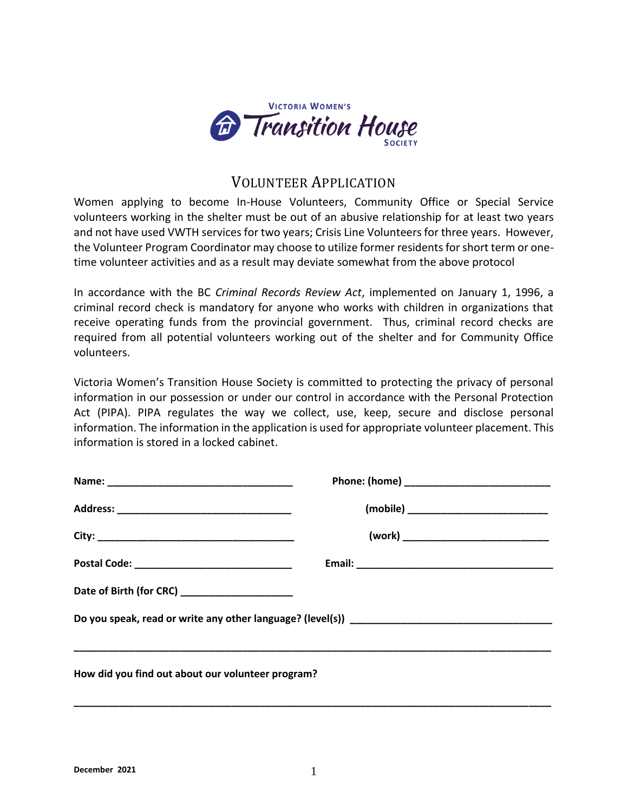

## VOLUNTEER APPLICATION

Women applying to become In-House Volunteers, Community Office or Special Service volunteers working in the shelter must be out of an abusive relationship for at least two years and not have used VWTH services for two years; Crisis Line Volunteers for three years. However, the Volunteer Program Coordinator may choose to utilize former residents for short term or onetime volunteer activities and as a result may deviate somewhat from the above protocol

In accordance with the BC *Criminal Records Review Act*, implemented on January 1, 1996, a criminal record check is mandatory for anyone who works with children in organizations that receive operating funds from the provincial government. Thus, criminal record checks are required from all potential volunteers working out of the shelter and for Community Office volunteers.

Victoria Women's Transition House Society is committed to protecting the privacy of personal information in our possession or under our control in accordance with the Personal Protection Act (PIPA). PIPA regulates the way we collect, use, keep, secure and disclose personal information. The information in the application is used for appropriate volunteer placement. This information is stored in a locked cabinet.

| Postal Code: ___________________________________  |  |  |  |
|---------------------------------------------------|--|--|--|
| Date of Birth (for CRC) ________________________  |  |  |  |
|                                                   |  |  |  |
| How did you find out about our volunteer program? |  |  |  |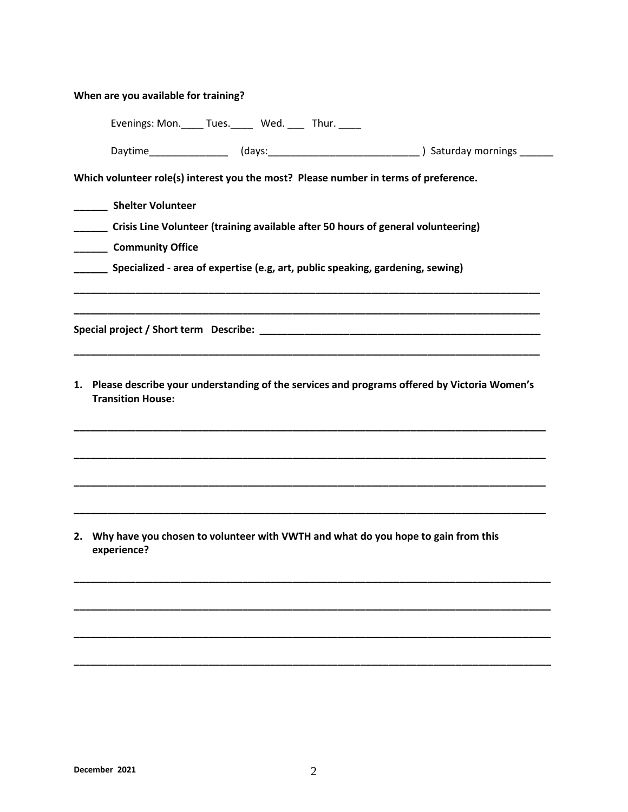| 1. Please describe your understanding of the services and programs offered by Victoria Women's |
|------------------------------------------------------------------------------------------------|
|                                                                                                |
| 2. Why have you chosen to volunteer with VWTH and what do you hope to gain from this           |

**\_\_\_\_\_\_\_\_\_\_\_\_\_\_\_\_\_\_\_\_\_\_\_\_\_\_\_\_\_\_\_\_\_\_\_\_\_\_\_\_\_\_\_\_\_\_\_\_\_\_\_\_\_\_\_\_\_\_\_\_\_\_\_\_\_\_\_\_\_\_\_\_\_\_\_\_\_\_\_\_\_\_\_\_\_**

**\_\_\_\_\_\_\_\_\_\_\_\_\_\_\_\_\_\_\_\_\_\_\_\_\_\_\_\_\_\_\_\_\_\_\_\_\_\_\_\_\_\_\_\_\_\_\_\_\_\_\_\_\_\_\_\_\_\_\_\_\_\_\_\_\_\_\_\_\_\_\_\_\_\_\_\_\_\_\_\_\_\_\_\_\_**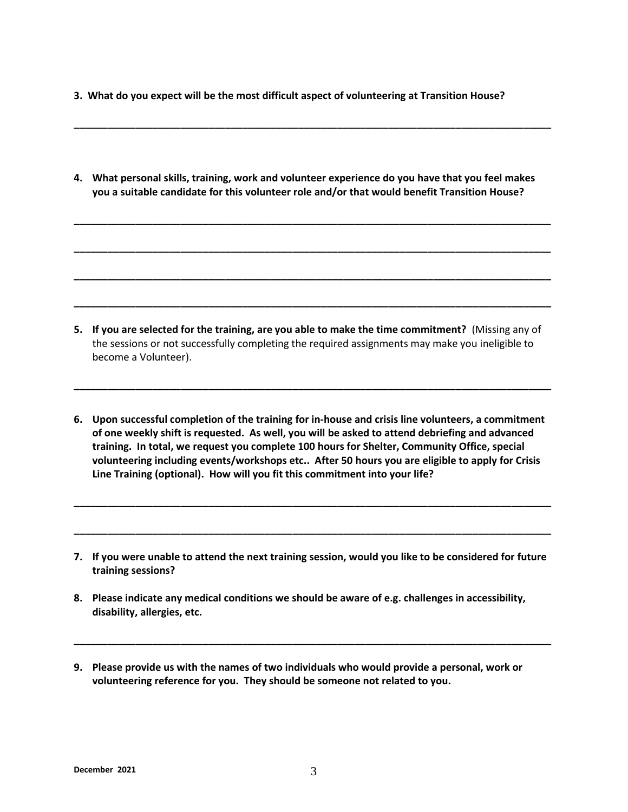- **3. What do you expect will be the most difficult aspect of volunteering at Transition House?**
- **4. What personal skills, training, work and volunteer experience do you have that you feel makes you a suitable candidate for this volunteer role and/or that would benefit Transition House?**

**\_\_\_\_\_\_\_\_\_\_\_\_\_\_\_\_\_\_\_\_\_\_\_\_\_\_\_\_\_\_\_\_\_\_\_\_\_\_\_\_\_\_\_\_\_\_\_\_\_\_\_\_\_\_\_\_\_\_\_\_\_\_\_\_\_\_\_\_\_\_\_\_\_\_\_\_\_\_\_\_\_\_\_\_\_**

**\_\_\_\_\_\_\_\_\_\_\_\_\_\_\_\_\_\_\_\_\_\_\_\_\_\_\_\_\_\_\_\_\_\_\_\_\_\_\_\_\_\_\_\_\_\_\_\_\_\_\_\_\_\_\_\_\_\_\_\_\_\_\_\_\_\_\_\_\_\_\_\_\_\_\_\_\_\_\_\_\_\_\_\_\_**

**\_\_\_\_\_\_\_\_\_\_\_\_\_\_\_\_\_\_\_\_\_\_\_\_\_\_\_\_\_\_\_\_\_\_\_\_\_\_\_\_\_\_\_\_\_\_\_\_\_\_\_\_\_\_\_\_\_\_\_\_\_\_\_\_\_\_\_\_\_\_\_\_\_\_\_\_\_\_\_\_\_\_\_\_\_**

**\_\_\_\_\_\_\_\_\_\_\_\_\_\_\_\_\_\_\_\_\_\_\_\_\_\_\_\_\_\_\_\_\_\_\_\_\_\_\_\_\_\_\_\_\_\_\_\_\_\_\_\_\_\_\_\_\_\_\_\_\_\_\_\_\_\_\_\_\_\_\_\_\_\_\_\_\_\_\_\_\_\_\_\_\_**

**\_\_\_\_\_\_\_\_\_\_\_\_\_\_\_\_\_\_\_\_\_\_\_\_\_\_\_\_\_\_\_\_\_\_\_\_\_\_\_\_\_\_\_\_\_\_\_\_\_\_\_\_\_\_\_\_\_\_\_\_\_\_\_\_\_\_\_\_\_\_\_\_\_\_\_\_\_\_\_\_\_\_\_\_\_**

**5. If you are selected for the training, are you able to make the time commitment?** (Missing any of the sessions or not successfully completing the required assignments may make you ineligible to become a Volunteer).

**\_\_\_\_\_\_\_\_\_\_\_\_\_\_\_\_\_\_\_\_\_\_\_\_\_\_\_\_\_\_\_\_\_\_\_\_\_\_\_\_\_\_\_\_\_\_\_\_\_\_\_\_\_\_\_\_\_\_\_\_\_\_\_\_\_\_\_\_\_\_\_\_\_\_\_\_\_\_\_\_\_\_\_\_\_**

**6. Upon successful completion of the training for in-house and crisis line volunteers, a commitment of one weekly shift is requested. As well, you will be asked to attend debriefing and advanced training. In total, we request you complete 100 hours for Shelter, Community Office, special volunteering including events/workshops etc.. After 50 hours you are eligible to apply for Crisis Line Training (optional). How will you fit this commitment into your life?**

**\_\_\_\_\_\_\_\_\_\_\_\_\_\_\_\_\_\_\_\_\_\_\_\_\_\_\_\_\_\_\_\_\_\_\_\_\_\_\_\_\_\_\_\_\_\_\_\_\_\_\_\_\_\_\_\_\_\_\_\_\_\_\_\_\_\_\_\_\_\_\_\_\_\_\_\_\_\_\_\_\_\_\_\_\_**

**\_\_\_\_\_\_\_\_\_\_\_\_\_\_\_\_\_\_\_\_\_\_\_\_\_\_\_\_\_\_\_\_\_\_\_\_\_\_\_\_\_\_\_\_\_\_\_\_\_\_\_\_\_\_\_\_\_\_\_\_\_\_\_\_\_\_\_\_\_\_\_\_\_\_\_\_\_\_\_\_\_\_\_\_\_**

**7. If you were unable to attend the next training session, would you like to be considered for future training sessions?** 

**\_\_\_\_\_\_\_\_\_\_\_\_\_\_\_\_\_\_\_\_\_\_\_\_\_\_\_\_\_\_\_\_\_\_\_\_\_\_\_\_\_\_\_\_\_\_\_\_\_\_\_\_\_\_\_\_\_\_\_\_\_\_\_\_\_\_\_\_\_\_\_\_\_\_\_\_\_\_\_\_\_\_\_\_\_**

- **8. Please indicate any medical conditions we should be aware of e.g. challenges in accessibility, disability, allergies, etc.**
- **9. Please provide us with the names of two individuals who would provide a personal, work or volunteering reference for you. They should be someone not related to you.**